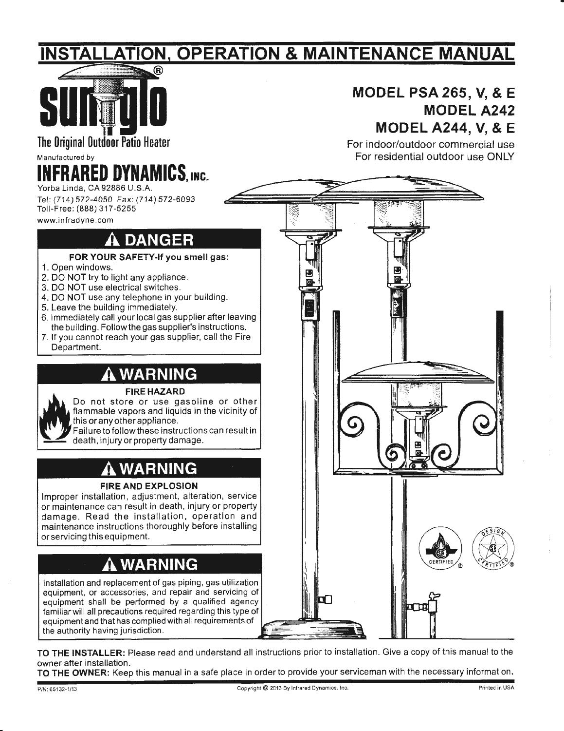## <u>INSTALLATION, OPERATION & MAINTENANCE MANUAL</u>



### **MODEL PSA 265, V, & E MODEL A242 MODEL A244, V, & E**

For indoor/outdoor commercial use

Manufactured by

## **IFRARED DYNAMICS, INC.**

Yorba Linda, CA 92886 U.S.A. Tel: (714) 572-4050 Fax: (714) 572-6093 Toll-Free: (888) 317-5255

www.infradyne.com

## **DANGER**

- **FOR YOUR SAFETY-If you smell gas:**
- 1. Open windows.
- 2. DO NOT try to light any appliance.
- 3. DO NOT use electrical switches.
- 4. DO NOT use any telephone in your building.
- 5. Leave the building immediately.
- 6. Immediately call your local gas supplier after leaving the building. Follow the gas supplier's instructions.
- 7. If you cannot reach your gas supplier, call the Fire Department.

### **WARNING**

#### **FIRE HAZARD**

Do not store or use gasoline or other flammable vapors and liquids in the vicinity of this or any other appliance .

Failure to follow these instructions can resultin death, injury or property damage.

### **WARNING**

#### **FIRE AND EXPLOSION**

Improper installation, adjustment, alteration, service or maintenance can result in death, injury or property damage. Read the installation, operation and maintenance instructions thoroughly before installing or servicing this equipment.

## **WARNING**

Installation and replacement of gas piping, gas utilization equipment, or accessories, and repair and servicing of equipment shall be performed by a qualified agency familiar will all precautions required regarding this type of equipment and that has complied with all requirements of the authority having jurisdiction.



**TO THE INSTALLER:** Please read and understand all instructions prior to installation. Give a copy of this manual to the owner after installation.

**TO THE OWNER:** Keep this manual in a safe place in order to provide your serviceman with the necessary information.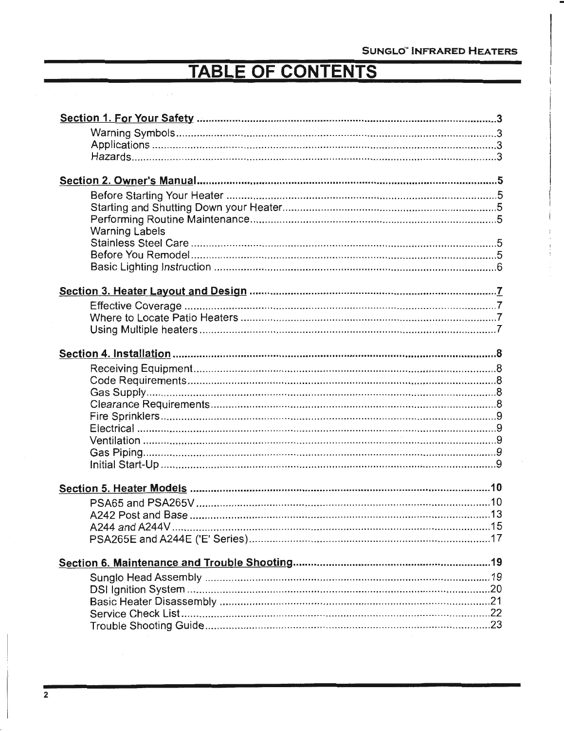## **TABLE OF CONTENTS**

 $\sim$   $\sim$ 

| <b>Warning Labels</b> |
|-----------------------|
|                       |
|                       |
|                       |
|                       |
|                       |
|                       |
|                       |
|                       |
|                       |
|                       |
|                       |
|                       |
|                       |
|                       |
|                       |
|                       |
|                       |
|                       |
|                       |
|                       |
|                       |
|                       |
|                       |
|                       |
|                       |
|                       |
|                       |
|                       |
|                       |
|                       |
|                       |
|                       |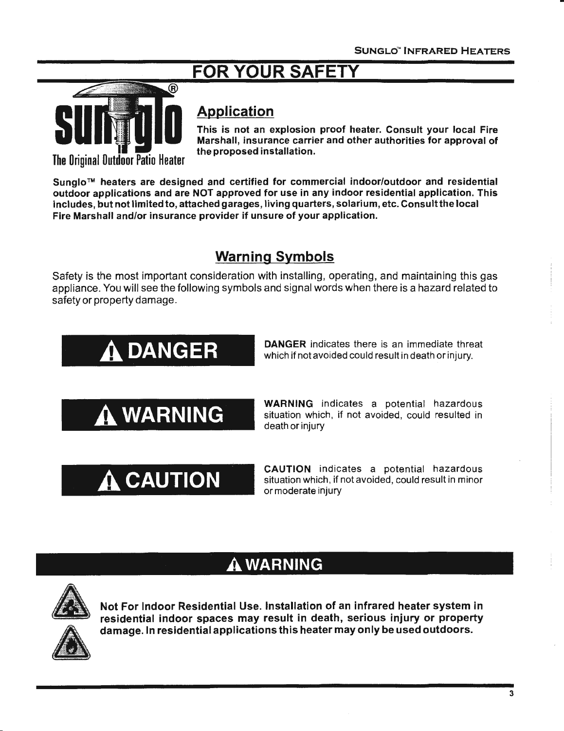## FOR YOUR SA



### Application

This is not an explosion proof heater. Consult your local Fire Marshall, insurance carrier and other authorities for approval of the proposed installation.

Sunglo™ heaters are designed and certified for commercial indoor/outdoor and residential outdoor applications and are NOT approved for use in any indoor residential application. This includes, but not limited to, attached garages, living quarters, solarium, etc. Consult the local Fire Marshall and/or insurance provider if unsure of your application.

### Warning Symbols

Safety is the most important consideration with installing, operating, and maintaining this gas appliance. You will see the following symbols and signal words when there is a hazard related to safety or property damage.

# A. DANGER

DANGER indicates there is an immediate threat which if not avoided could result in death or injury.

A. WARNING

A. CAUTION

WARNING indicates a potential hazardous situation which, if not avoided, could resulted in death or injury

CAUTION indicates a potential hazardous situation which, if not avoided, could result in minor or moderate injury

### A. WARNING



Not For Indoor Residential Use. Installation of an infrared heater system in residential indoor spaces may result in death, serious injury or property damage. In residential applications this heater may only be used outdoors.

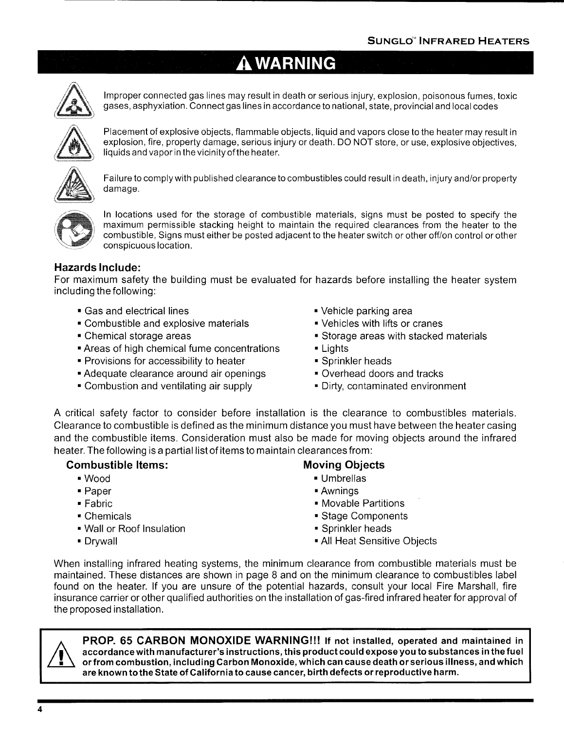## **A WARNING**



Improper connected gas lines may result in death or serious injury, explosion, poisonous fumes, toxic gases, asphyxiation. Connect gas lines in accordance to national, state, provincial and local codes



Placement of explosive objects, flammable objects, liquid and vapors close to the heater may result in explosion, fire, property damage, serious injury or death. DO NOT store, or use, explosive objectives, liquids and vapor in the vicinity of the heater.



Failure to comply with published clearance to combustibles could result in death, injury and/or property damage.



In locations used for the storage of combustible materials, signs must be posted to specify the maximum permissible stacking height to maintain the required clearances from the heater to the combustible, Signs must either be posted adjacent to the heater switch or other off/on control or other conspicuous location.

#### **Hazards Include:**

For maximum safety the building must be evaluated for hazards before installing the heater system including the following:

- Gas and electrical lines **•** Vehicle parking area
- Combustible and explosive materials Vehicles with lifts or cranes
- 
- Areas of high chemical fume concentrations Lights
- Provisions for accessibility to heater Sprinkler heads
- Adequate clearance around air openings Overhead doors and tracks
- Combustion and ventilating air supply  **Pirty**, contaminated environment
- 
- 
- Chemical storage areas Storage areas Storage areas with stacked materials
	-
	-
	-
	-

A critical safety factor to consider before installation is the clearance to combustibles materials. Clearance to combustible is defined as the minimum distance you must have between the heater casing and the combustible items. Consideration must also be made for moving objects around the infrared heater. The following is a partial list of items to maintain clearances from:

#### **Combustible Items:** Moving Objects

- 
- 
- 
- 
- Wall or Roof Insulation Sprinkler heads
- 

- Wood Umbrellas
- Paper  **Awnings**
- Fabric Movable Partitions
- Chemicals Chemicals Stage Components
	-
- Drywall **All Heat Sensitive Objects**

When installing infrared heating systems, the minimum clearance from combustible materials must be maintained. These distances are shown in page 8 and on the minimum clearance to combustibles label found on the heater. If you are unsure of the potential hazards, consult your local Fire Marshall, fire insurance carrier or other qualified authorities on the installation of gas-fired infrared heater for approval of the proposed installation.



**PROP. 65 CARBON MONOXIDE WARNING!!! If not installed, operated and maintained in accordance with manufacturer's instructions, this product could expose you to substances in the fuel or from combustion, including Carbon Monoxide, which can cause death or serious illness, and which are known to the State of California to cause cancer, birth defects or reproductive harm.**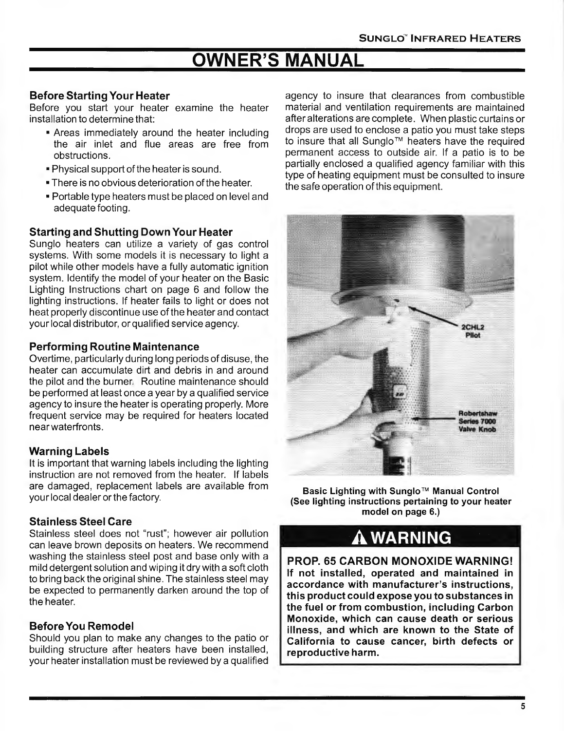## **OWNER'S MANUAL**

#### **Before Starting Your Heater**

Before you start your heater examine the heater installation to determine that:

- Areas immediately around the heater including the air inlet and flue areas are free from obstructions.
- Physical support of the heater is sound.
- There is no obvious deterioration of the heater.
- Portable type heaters must be placed on level and adequate footing.

#### **Starting and Shutting Down Your Heater**

Sunglo heaters can utilize a variety of gas control systems. With some models it is necessary to light a pilot while other models have a fully automatic ignition system. Identify the model of your heater on the Basic Lighting Instructions chart on page 6 and follow the lighting instructions. If heater fails to light or does not heat properly discontinue use of the heater and contact your local distributor, or qualified service agency.

#### **Performing Routine Maintenance**

Overtime, particularly during long periods of disuse, the heater can accumulate dirt and debris in and around the pilot and the burner. Routine maintenance should be performed at least once a year by a qualified service agency to insure the heater is operating properly. More frequent service may be required for heaters located near waterfronts.

#### **Warning Labels**

It is important that warning labels including the lighting instruction are not removed from the heater. If labels are damaged, replacement labels are available from your local dealer or the factory.

#### **Stainless Steel Care**

Stainless steel does not "rust"; however air pollution can leave brown deposits on heaters. We recommend washing the stainless steel post and base only with a mild detergent solution and wiping it dry with a soft cloth to bring back the original shine. The stainless steel may be expected to permanently darken around the top of the heater.

#### **Before You Remodel**

Should you plan to make any changes to the patio or building structure after heaters have been installed, your heater installation must be reviewed by a qualified

agency to insure that clearances from combustible material and ventilation requirements are maintained after alterations are complete. When plastic curtains or drops are used to enclose a patio you must take steps to insure that all Sunglo™ heaters have the required permanent access to outside air. If a patio is to be partially enclosed a qualified agency familiar with this type of heating equipment must be consulted to insure the safe operation of this equipment.



**Basic Lighting with Sunglo™ Manual Control (See lighting instructions pertaining to your heater model on page 6.)** 

## **WARNING**

**PROP. 65 CARBON MONOXIDE WARNING! If not installed, operated and maintained in accordance with manufacturer's instructions, this product could expose you to substances in the fuel or from combustion, including Carbon Monoxide, which can cause death or serious illness, and which are known to the State of California to cause cancer, birth defects or reproductive harm.**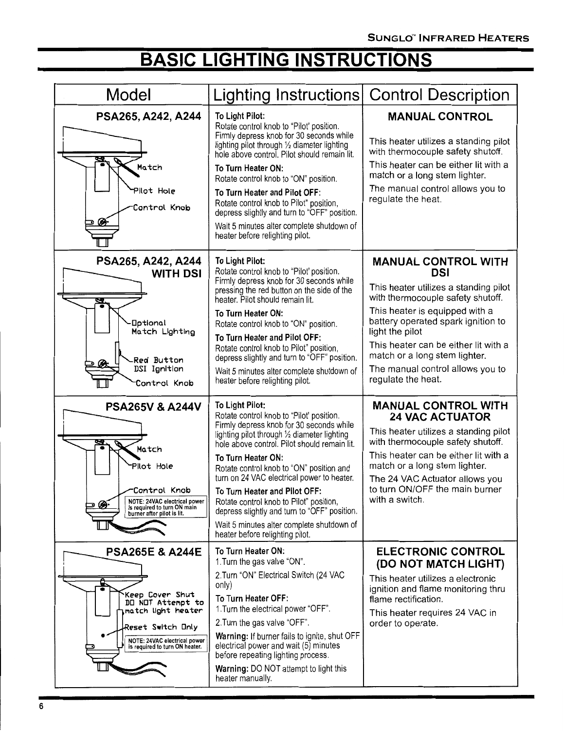## **BASIC LIGHTING INSTRUCTIONS**

| Model                                                                                                                                                                                 | Lighting Instructions Control Description                                                                                                                                                                                                                                                                                                                                                                                                                                                                                           |                                                                                                                                                                                                                                                                                                                                                      |
|---------------------------------------------------------------------------------------------------------------------------------------------------------------------------------------|-------------------------------------------------------------------------------------------------------------------------------------------------------------------------------------------------------------------------------------------------------------------------------------------------------------------------------------------------------------------------------------------------------------------------------------------------------------------------------------------------------------------------------------|------------------------------------------------------------------------------------------------------------------------------------------------------------------------------------------------------------------------------------------------------------------------------------------------------------------------------------------------------|
| PSA265, A242, A244<br>Ø,<br>Match<br>Pilot Hole<br>Control Knob<br>Ø                                                                                                                  | To Light Pilot:<br>Rotate control knob to "Pilot' position.<br>Firmly depress knob for 30 seconds while<br>lighting pilot through 1/2 diameter lighting<br>hole above control. Pilot should remain lit.<br>To Turn Heater ON:<br>Rotate control knob to "ON" position.<br>To Turn Heater and Pilot OFF:<br>Rotate control knob to Pilot" position,<br>depress slightly and turn to "OFF" position.<br>Wait 5 minutes alter complete shutdown of<br>heater before relighting pilot.                                                  | <b>MANUAL CONTROL</b><br>This heater utilizes a standing pilot<br>with thermocouple safety shutoff.<br>This heater can be either lit with a<br>match or a long stem lighter.<br>The manual control allows you to<br>regulate the heat.                                                                                                               |
| PSA265, A242, A244<br><b>WITH DSI</b><br><b>Optional</b><br>Match Lighting<br><b>Red Button</b><br>DSI Ignition<br>Control Knob                                                       | To Light Pilot:<br>Rotate control knob to "Pilot' position.<br>Firmly depress knob for 30 seconds while<br>pressing the red button on the side of the<br>heater. Pilot should remain lit.<br>To Turn Heater ON:<br>Rotate control knob to "ON" position.<br>To Turn Heater and Pilot OFF:<br>Rotate control knob to Pilot" position,<br>depress slightly and turn to "OFF" position.<br>Wait 5 minutes alter complete shutdown of<br>heater before relighting pilot.                                                                | <b>MANUAL CONTROL WITH</b><br><b>DSI</b><br>This heater utilizes a standing pilot<br>with thermocouple safety shutoff.<br>This heater is equipped with a<br>battery operated spark ignition to<br>light the pilot<br>This heater can be either lit with a<br>match or a long stem lighter.<br>The manual control allows you to<br>regulate the heat. |
| <b>PSA265V &amp; A244V</b><br>Match<br>Pilot Hole<br>Control Knob<br>NOTE: 24VAC electrical power<br>is required to turn ON main<br>burner after pilot is lit.                        | To Light Pilot:<br>Rotate control knob to "Pilot' position.<br>Firmly depress knob for 30 seconds while<br>lighting pilot through 1/2 diameter lighting<br>hole above control. Pilot should remain lit.<br>To Turn Heater ON:<br>Rotate control knob to "ON" position and<br>turn on 24 VAC electrical power to heater.<br>To Turn Heater and Pilot OFF:<br>Rotate control knob to Pilot" position,<br>depress slightly and turn to "OFF" position.<br>Wait 5 minutes alter complete shutdown of<br>heater before relighting pilot. | <b>MANUAL CONTROL WITH</b><br><b>24 VAC ACTUATOR</b><br>This heater utilizes a standing pilot<br>with thermocouple safety shutoff.<br>This heater can be either lit with a<br>match or a long stem lighter.<br>The 24 VAC Actuator allows you<br>to turn ON/OFF the main burner<br>with a switch.                                                    |
| <b>PSA265E &amp; A244E</b><br>e.<br>Keep Cover Shut<br>DO NOT Attempt to<br>match light heater<br>Reset Switch Only<br>NOTE: 24VAC electrical power<br>is required to turn ON heater. | To Turn Heater ON:<br>1. Turn the gas valve "ON".<br>2. Turn "ON" Electrical Switch (24 VAC<br>only)<br>To Turn Heater OFF:<br>1. Turn the electrical power "OFF".<br>2. Turn the gas valve "OFF".<br><b>Warning: If burner fails to ignite, shut OFF</b><br>electrical power and wait (5) minutes<br>before repeating lighting process.<br>Warning: DO NOT attempt to light this<br>heater manually.                                                                                                                               | <b>ELECTRONIC CONTROL</b><br>(DO NOT MATCH LIGHT)<br>This heater utilizes a electronic<br>ignition and flame monitoring thru<br>flame rectification.<br>This heater requires 24 VAC in<br>order to operate.                                                                                                                                          |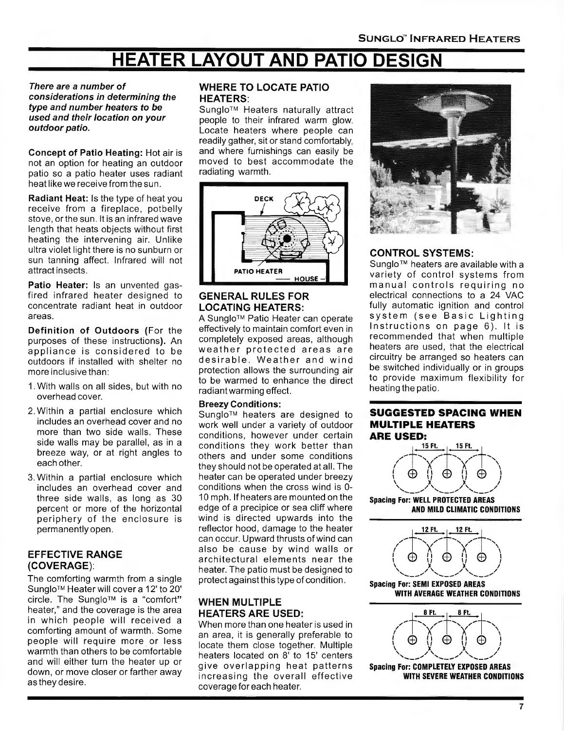## **HEATER LAYOUT AND PATIO DESIGN**

#### **There are a number of considerations in determining the type and number heaters to be used and their location on your outdoor patio.**

**Concept of Patio Heating:** Hot air is not an option for heating an outdoor patio so a patio heater uses radiant heat like we receive from the sun.

**Radiant Heat:** Is the type of heat you receive from a fireplace, potbelly stove, or the sun. It is an infrared wave length that heats objects without first heating the intervening air. Unlike ultra violet light there is no sunburn or sun tanning affect. Infrared will not attract insects.

**Patio Heater:** Is an unvented gasfired infrared heater designed to concentrate radiant heat in outdoor areas.

**Definition of Outdoors** (For the purposes of these instructions). An appliance is considered to be outdoors if installed with shelter no more inclusive than:

- 1. With walls on all sides, but with no overhead cover.
- 2. Within a partial enclosure which includes an overhead cover and no more than two side walls. These side walls may be parallel, as in a breeze way, or at right angles to each other.
- 3. Within a partial enclosure which includes an overhead cover and three side walls, as long as 30 percent or more of the horizontal periphery of the enclosure is permanently open.

#### **EFFECTIVE RANGE (COVERAGE):**

The comforting warmth from a single Sunglo™ Heater will cover a 12' to 20' circle. The Sunglo™ is a "comfort" heater," and the coverage is the area in which people will received a comforting amount of warmth. Some people will require more or less warmth than others to be comfortable and will either turn the heater up or down, or move closer or farther away as they desire.

#### **WHERE TO LOCATE PATIO HEATERS:**

Sunglo™ Heaters naturally attract people to their infrared warm glow. Locate heaters where people can readily gather, sit or stand comfortably, and where furnishings can easily be moved to best accommodate the radiating warmth.



#### **GENERAL RULES FOR LOCATING HEATERS:**

A Sunglo™ Patio Heater can operate effectively to maintain comfort even in completely exposed areas, although weather protected areas are desirable. Weather and wind protection allows the surrounding air to be warmed to enhance the direct radiant warming effect.

#### **Breezy Conditions:**

Sunglo™ heaters are designed to work well under a variety of outdoor conditions, however under certain conditions they work better than others and under some conditions they should not be operated at all. The heater can be operated under breezy conditions when the cross wind is 0- 10 mph. If heaters are mounted on the edge of a precipice or sea cliff where wind is directed upwards into the reflector hood, damage to the heater can occur. Upward thrusts of wind can also be cause by wind walls or architectural elements near the heater. The patio must be designed to protect against this type of condition .

#### **WHEN MULTIPLE HEATERS ARE USED:**

When more than one heater is used in an area, it is generally preferable to locate them close together. Multiple heaters located on 8' to 15' centers give overlapping heat patterns increasing the overall effective coverage for each heater.



#### **CONTROL SYSTEMS:**

Sunglo<sup>™</sup> heaters are available with a va riety of control systems from manual controls requiring no electrical connections to a 24 VAC fully automatic ignition and control system (see Basic Lighting Instructions on page  $6$ ). It is recommended that when multiple heaters are used, that the electrical circuitry be arranged so heaters can be switched individually or in groups to provide maximum flexibility for heating the patio.

### **SUGGESTED SPACING WHEN MULTIPLE HEATERS**



**Spacing For: WELL PROTECTED AREAS AND MILD CLIMATIC CONDITIONS** 



**Spacing For: SEMI EXPOSED AREAS WITH AVERAGE WEATHER CONDITIONS** 



**Spacing For: COMPLETELY EXPOSED AREAS WITH SEVERE WEATHER CONDITIONS**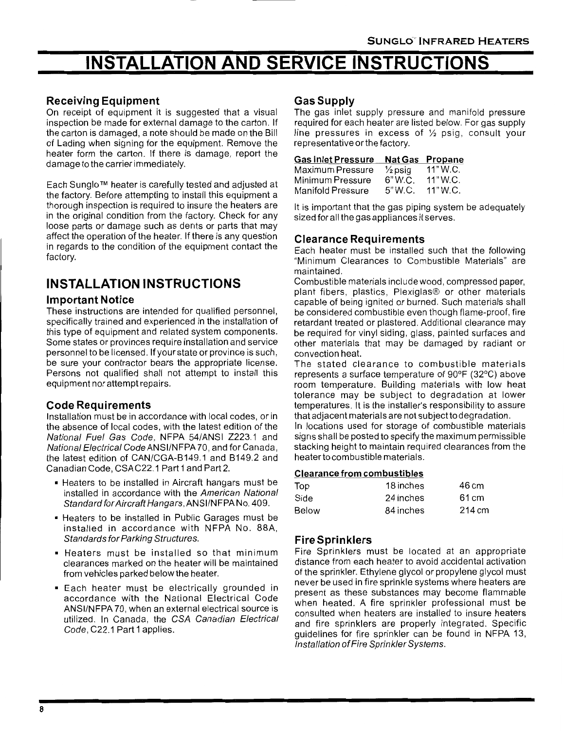## **INSTALLATION AND SERVICE INSTRUCTIONS**

#### **Receiving Equipment**

On receipt of equipment it is suggested that a visual inspection be made for external damage to the carton. If the carton is damaged, a note should be made on the Bill of Lading when signing for the equipment. Remove the heater form the carton. If there is damage, report the damage to the carrier immediately.

Each Sunglo rM heater is carefully tested and adjusted at the factory. Before attempting to install this equipment a thorough inspection is required to insure the heaters are in the original condition from the factory. Check for any loose parts or damage such as dents or parts that may affect the operation of the heater. If there is any question in regards to the condition of the equipment contact the factory.

### **INSTALLATION INSTRUCTIONS**

#### **Important Notice**

These instructions are intended for qualified personnel, specifically trained and experienced in the installation of this type of equipment and related system components. Some states or provinces require installation and service personnel to be licensed. If your state or province is such, be sure your contractor bears the appropriate license. Persons not qualified shall not attempt to install this equipment nor attempt repairs.

#### **Code Requirements**

Installation must be in accordance with local codes, or in the absence of local codes, with the latest edition of the National Fuel Gas Code, NFPA 54/ANSI Z223.1 and National Electrical Code ANSI/NFPA 70, and for Canada, the latest edition of CAN/CGA-B149.1 and B149.2 and Canadian Code, CSA C22.1 Part 1 and Part 2.

- Heaters to be installed in Aircraft hangars must be installed in accordance with the American National Standard for Aircraft Hangars , ANSI/NFPA No. 409.
- Heaters to be installed in Public Garages must be installed in accordance with NFPA No. 88A, Standards for Parking Structures.
- Heaters must be installed so that minimum clearances marked on the heater will be maintained from vehicles parked below the heater.
- Each heater must be electrically grounded in accordance with the National Electrical Code ANSI/NFPA 70, when an external electrical source is utilized. In Canada, the GSA Canadian Electrical Code, C22.1 Part 1 applies.

#### **Gas Supply**

The gas inlet supply pressure and manifold pressure required for each heater are listed below. For gas supply line pressures in excess of  $\frac{1}{2}$  psig, consult your representative or the factory.

| Gas Inlet Pressure Nat Gas Propane |  |  |
|------------------------------------|--|--|
|------------------------------------|--|--|

| Maximum Pressure  | $\frac{1}{2}$ psig | 11"W.C.  |
|-------------------|--------------------|----------|
| Minimum Pressure  | 6" W.C.            | 11"W.C.  |
| Manifold Pressure | 5" W.C.            | 11" W.C. |

It is important that the gas piping system be adequately sized for all the gas appliances it serves.

#### **Clearance Requirements**

Each heater must be installed such that the following "Minimum Clearances to Combustible Materials" are maintained .

Combustible materials include wood , compressed paper, plant fibers, plastics, Plexiglas® or other materials capable of being ignited or burned . Such materials shall be considered combustible even though flame-proof, fire retardant treated or plastered . Additional clearance may be required for vinyl siding, glass, painted surfaces and other materials that may be damaged by radiant or convection heat.

The stated clearance to combustible materials represents a surface temperature of 90°F (32°C) above room temperature. Building materials with low heat tolerance may be subject to degradation at lower temperatures. It is the installer's responsibility to assure that adjacent materials are not subject to degradation.

In locations used for storage of combustible materials signs shall be posted to specify the maximum permissible stacking height to maintain required clearances from the heater to combustible materials.

#### **Clearance from combustibles**

| Top   | 18 inches | 46 cm  |
|-------|-----------|--------|
| Side  | 24 inches | 61 cm  |
| Below | 84 inches | 214 cm |

#### **Fire Sprinklers**

Fire Sprinklers must be located at an appropriate distance from each heater to avoid accidental activation of the sprinkler. Ethylene glycol or propylene glycol must never be used in fire sprinkle systems where heaters are present as these substances may become flammable when heated. A fire sprinkler professional must be consulted when heaters are installed to insure heaters and fire sprinklers are properly integrated. Specific guidelines for fire sprinkler can be found in NFPA 13, Installation of Fire Sprinkler Systems.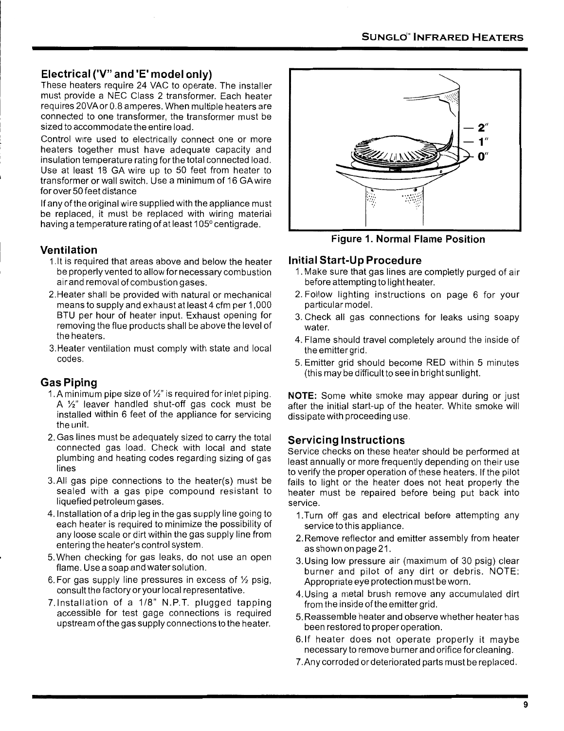#### **Electrical ('V" and 'E' model only)**

These heaters require 24 VAC to operate. The installer must provide a NEC Class 2 transformer. Each heater requires 20VAor0.8 amperes. When multiple heaters are connected to one transformer, the transformer must be sized to accommodate the entire load .

Control wire used to electrically connect one or more heaters together must have adequate capacity and insulation temperature rating for the total connected load. Use at least 18 GA wire up to 50 feet from heater to transformer or wall switch. Use a minimum of 16 GA wire for over 50 feet distance

If any of the original wire supplied with the appliance must be replaced, it must be replaced with wiring material having a temperature rating of at least 105° centigrade.

#### **Ventilation**

- 1.1t is required that areas above and below the heater be properly vented to allow for necessary combustion air and removal of combustion gases.
- 2.Heater shall be provided with natural or mechanical means to supply and exhaust at least 4 cfm per 1 ,000 BTU per hour of heater input. Exhaust opening for removing the flue products shall be above the level of the heaters.
- 3.Heater ventilation must comply with state and local codes.

#### **Gas Piping**

- 1. A minimum pipe size of  $\frac{1}{2}$ " is required for inlet piping. A  $\frac{1}{2}$ " leaver handled shut-off gas cock must be installed within 6 feet of the appliance for servicing the unit.
- 2. Gas lines must be adequately sized to carry the total connected gas load. Check with local and state plumbing and heating codes regarding sizing of gas lines
- 3.AII gas pipe connections to the heater(s) must be sealed with a gas pipe compound resistant to liquefied petroleum gases.
- 4.1nstallation of a drip leg in the gas supply line going to each heater is required to minimize the possibility of any loose scale or dirt within the gas supply line from entering the heater's control system.
- 5. When checking for gas leaks, do not use an open flame. Use a soap and water solution.
- 6. For gas supply line pressures in excess of  $\frac{1}{2}$  psig, consult the factory or your local representative.
- ?.Installation of a 1/8" N.P.T. plugged tapping accessible for test gage connections is required upstream ofthe gas supply connections to the heater.



**Figure 1. Normal Flame Position** 

#### **Initial Start-Up Procedure**

- 1. Make sure that gas lines are completly purged of air before attempting to light heater.
- 2. Follow lighting instructions on page 6 for your particular model.
- 3. Check all gas connections for leaks using soapy water.
- 4. Flame should travel completely around the inside of the emitter grid.
- 5. Emitter grid should become RED within 5 minutes (this may be difficult to see in bright sunlight.

**NOTE:** Some white smoke may appear during or just after the initial start-up of the heater. White smoke will dissipate with proceeding use.

#### **Servicing Instructions**

Service checks on these heater should be performed at least annually or more frequently depending on their use to verify the proper operation of these heaters. If the pilot fails to light or the heater does not heat properly the heater must be repaired before being put back into service.

- 1. Turn off gas and electrical before attempting any service to this appliance.
- 2. Remove reflector and emitter assembly from heater as shown on page 21 .
- 3. Using low pressure air (maximum of 30 psig) clear burner and pilot of any dirt or debris. NOTE: Appropriate eye protection must be worn.
- 4. Using a metal brush remove any accumulated dirt from the inside of the emitter grid.
- 5. Reassemble heater and observe whether heater has been restored to proper operation.
- 6.1f heater does not operate properly it maybe necessary to remove burner and orifice for cleaning .
- 7. Any corroded or deteriorated parts must be replaced .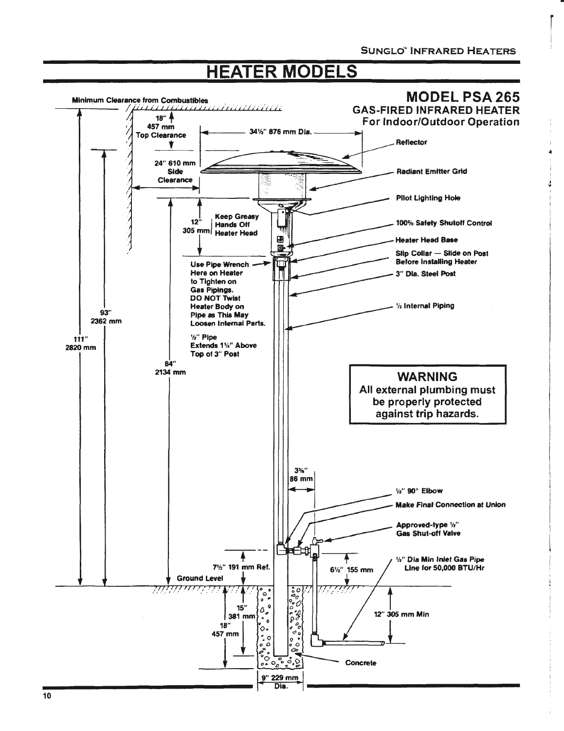## **HEATER MODELS**



 $10$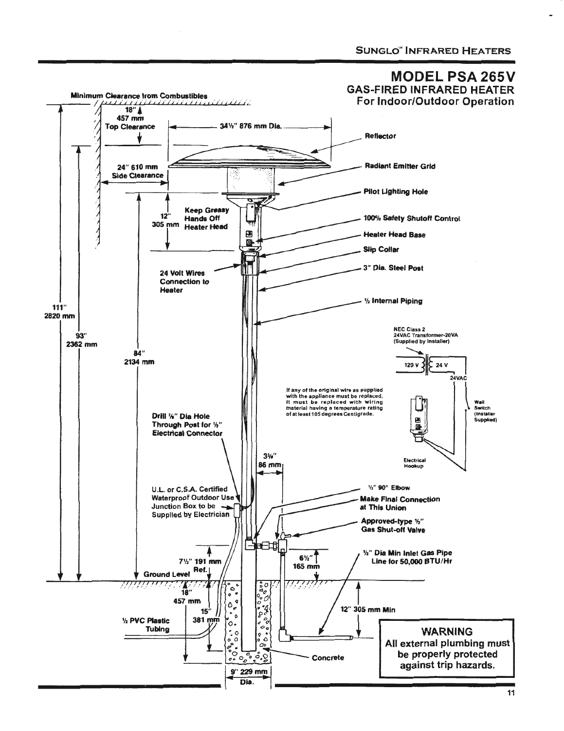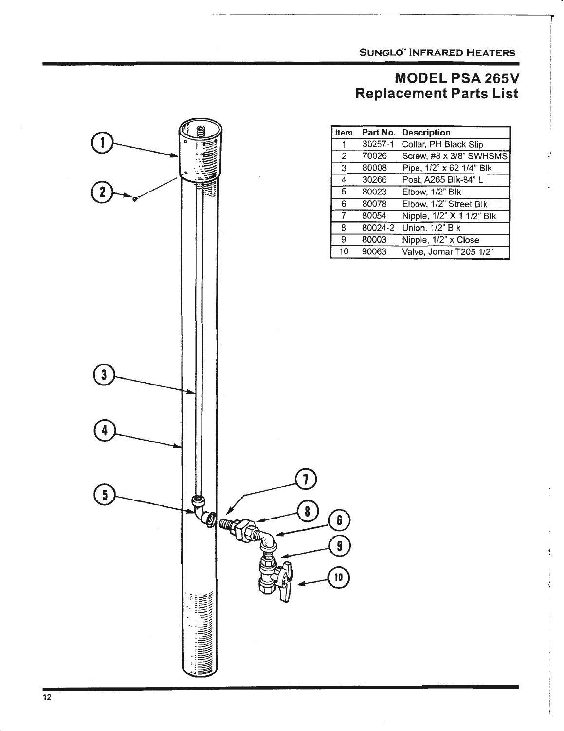**SUNGLd" INFRARED HEATERS** 

### **MODEL PSA 265V Replacement Parts List**

| Item           | Part No. | <b>Description</b>                                   |
|----------------|----------|------------------------------------------------------|
|                | 30257-1  | Collar, PH Black Slip                                |
| 2              | 70026    | Screw, #8 x 3/8" SWHSMS                              |
| $\overline{3}$ | 80008    | Pipe, $\overline{1/2}$ " x 62 $\overline{1/4}$ " Blk |
| 4              | 30266    | Post, A265 Blk-84" L                                 |
| 5              | 80023    | Elbow, 1/2" Blk                                      |
| 6              | 80078    | Elbow, 1/2" Street Blk                               |
| 7              | 80054    | Nipple, 1/2" X 1 1/2" Blk                            |
| 8              | 80024-2  | Union, 1/2" Blk                                      |
| 9              | 80003    | Nipple, 1/2" x Close                                 |
| 10             | 90063    | Valve, Jomar T205 1/2"                               |

÷

÷,

 $\mathbf{6}$ 

9

10

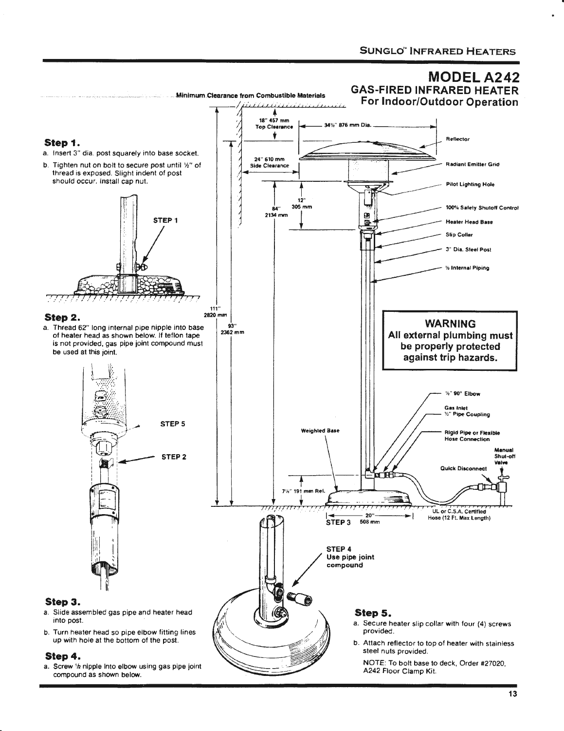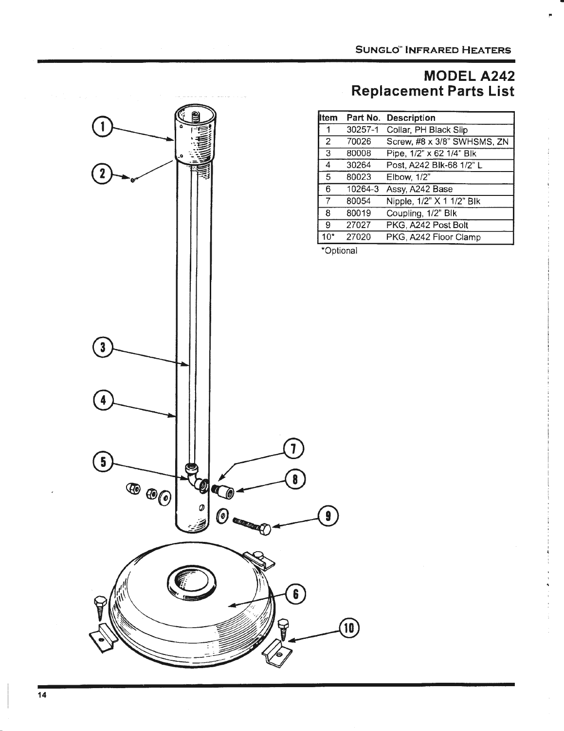I"

### **MODELA242 Replacement Parts List**

| lltem | Part No. | <b>Description</b>                        |
|-------|----------|-------------------------------------------|
|       | 30257-1  | Collar, PH Black Slip                     |
| 2     | 70026    | Screw, #8 x 3/8" SWHSMS, ZN               |
| 3     | 80008    | Pipe, $1/2$ " x 62 $1/\overline{4}$ " Blk |
| 4     | 30264    | Post, A242 Blk-68 1/2" L                  |
| 5     | 80023    | Elbow, 1/2"                               |
| 6     | 10264-3  | Assy, A242 Base                           |
| 7     | 80054    | Nipple, 1/2" X 1 1/2" Blk                 |
| 8     | 80019    | Coupling, 1/2" Blk                        |
| 9     | 27027    | PKG, A242 Post Bolt                       |
| $10*$ | 27020    | PKG, A242 Floor Clamp                     |

\*Optional

 $\circledR$ 

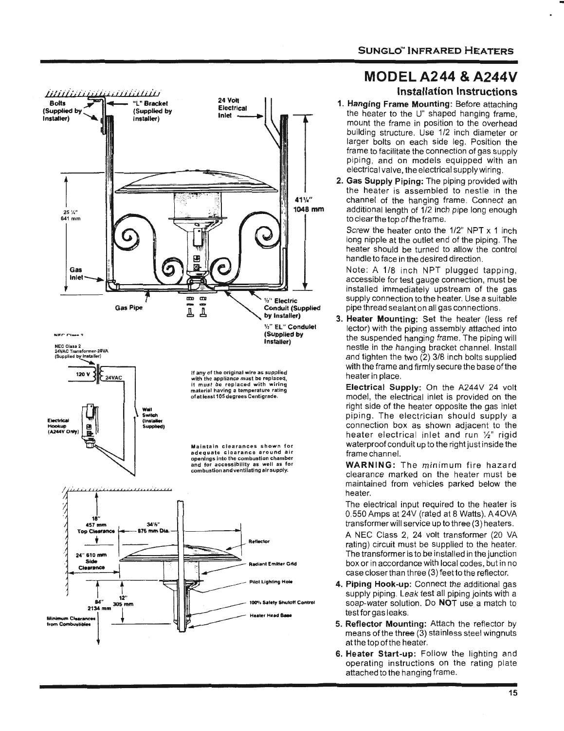

### MODEL A244 & A244V

#### Installation Instructions

- 1. Hanging Frame Mounting: Before attaching the heater to the U" shaped hanging frame, mount the frame in position to the overhead building structure. Use 1/2 inch diameter or larger bolts on each side leg. Position the frame to facilitate the connection of gas supply piping, and on models equipped with an electrical valve, the electrical supply wiring.
- 2. Gas Supply Piping: The piping provided with the heater is assembled to nestle in the channel of the hanging frame. Connect an additional length of 1/2 inch pipe long enough to clear the top of the frame.

Screw the heater onto the 1/2" NPT x 1 inch long nipple at the outlet end of the piping. The heater should be turned to allow the control handle to face in the desired direction.

Note: A 1/8 inch NPT plugged tapping, accessible for test gauge connection, must be installed immediately upstream of the gas supply connection to the heater. Use a suitable pipe thread sealant on all gas connections.

3. Heater Mounting: Set the heater (less ref lector) with the piping assembly attached into the suspended hanging frame. The piping will nestle in the hanging bracket channel. Install and tighten the two (2) 3/8 inch bolts supplied with the frame and firmly secure the base of the heater in place.

Electrical Supply: On the A244V 24 volt model, the electrical inlet is provided on the right side of the heater opposite the gas inlet piping. The electrician should supply a connection box as shown adjacent to the heater electrical inlet and run  $\frac{1}{2}$ " rigid waterproof conduit up to the right just inside the frame channel.

WARNING: The minimum fire hazard clearance marked on the heater must be maintained from vehicles parked below the heater.

The electrical input required to the heater is 0.550 Amps at 24V (rated at 8 Watts). A40VA transformer will service up to three (3) heaters.

A NEC Class 2, 24 volt transformer (20 VA rating) circuit must be supplied to the heater. The transformer is to be installed in the junction box or in accordance with local codes, but in no case closer than three (3) feet to the reflector.

- 4. Piping Hook-up: Connect the additional gas supply piping. Leak test all piping joints with a soap-water solution. Do NOT use a match to test for gas leaks.
- 5. Reflector Mounting: Attach the reflector by means of the three  $(3)$  stainless steel wingnuts at the top of the heater.
- 6. Heater Start-up: Follow the lighting and operating instructions on the rating plate attached to the hanging frame.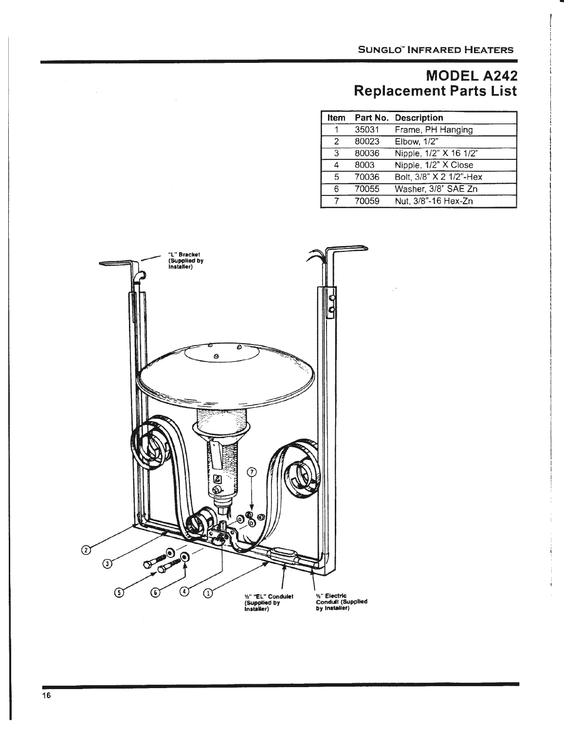### **MODELA242 Replacement Parts List**

| <b>Item</b>    |       | Part No. Description    |
|----------------|-------|-------------------------|
|                | 35031 | Frame, PH Hanging       |
| $\mathcal{P}$  | 80023 | Elbow, 1/2"             |
| $\overline{3}$ | 80036 | Nipple, 1/2" X 16 1/2"  |
| 4              | 8003  | Nipple, 1/2" X Close    |
| 5              | 70036 | Bolt, 3/8" X 2 1/2"-Hex |
| 6              | 70055 | Washer, 3/8" SAE Zn     |
| 7              | 70059 | Nut, 3/8"-16 Hex-Zn     |



 $\mathcal{A}^{\mathcal{A}}$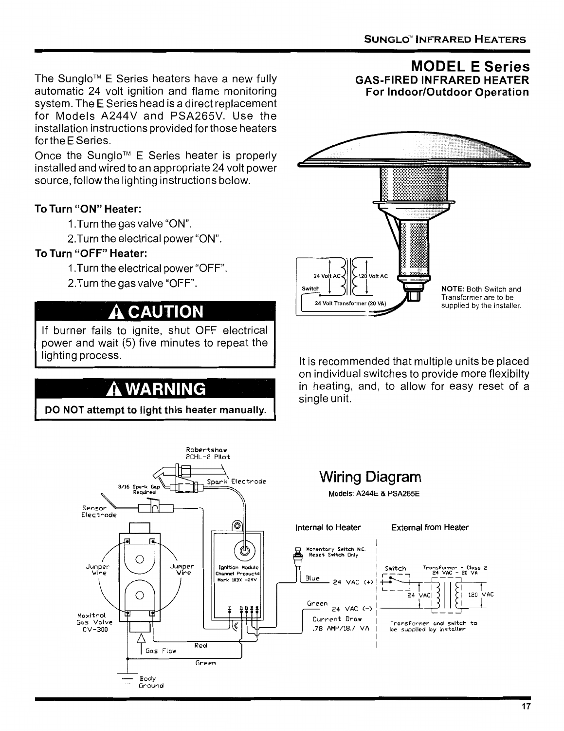**GAS-FIRED INFRARED HEATER** 

**MODEL E Series** 

The Sunglo™ E Series heaters have a new fully automatic 24 volt ignition and flame monitoring system. The E Series head is a direct replacement for Models A244V and PSA265V. Use the installation instructions provided for those heaters for the E Series.

Once the Sunglo™ E Series heater is properly installed and wired to an appropriate 24 volt power source, follow the lighting instructions below.

### **To Turn "ON" Heater:**

- 1.Turn the gas valve "ON".
- 2.Turn the electrical power"ON".

### **To Turn "OFF" Heater:**

- 1.Turn the electrical power "OFF".
- 2.Turn the gas valve "OFF".

### **A CAUTION**

If burner fails to ignite, shut OFF electrical power and wait (5) five minutes to repeat the lighting process.

## **WARNING**

**DO NOT attempt to light this heater manually.** 



It is recommended that multiple units be placed on individual switches to provide more flexibilty in heating, and, to allow for easy reset of a single unit.

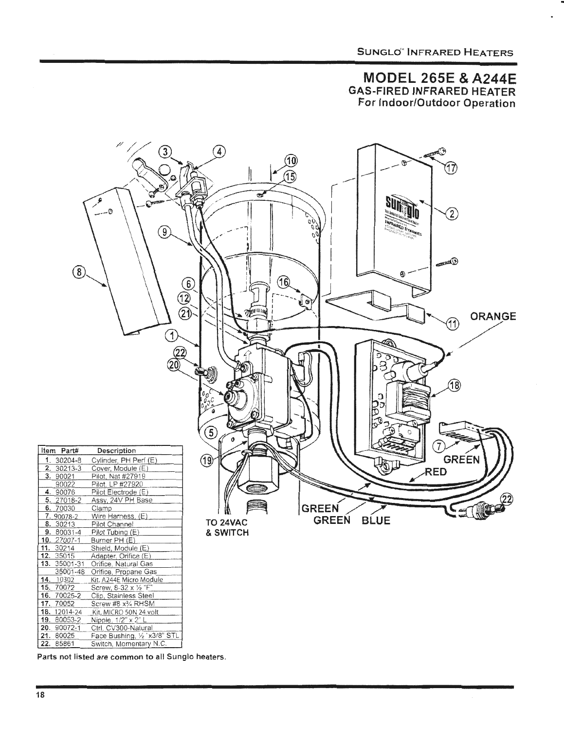#### **MODEL 265E & A244E GAS-FIRED INFRARED HEATER** For Indoor/Outdoor Operation



Parts not listed are common to all Sunglo heaters.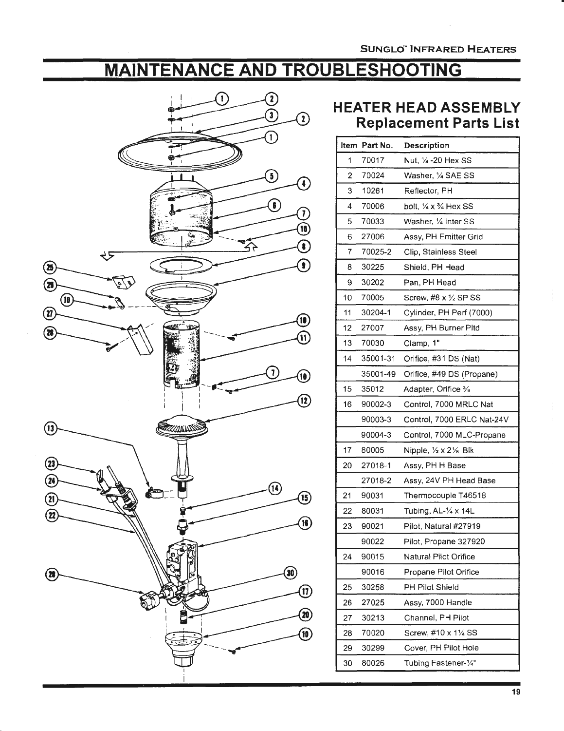### **MAINTENANCE AND TROUBLESHOOTING**



### **HEATER HEAD ASSEMBLY Replacement Parts List**

|    | Item Part No. | <b>Description</b>                            |
|----|---------------|-----------------------------------------------|
| 1  | 70017         | Nut. 1/4 - 20 Hex SS                          |
| 2  | 70024         | Washer, 1/4 SAE SS                            |
| 3  | 10261         | Reflector, PH                                 |
| 4  | 70006         | bolt, $\frac{1}{4}$ x $\frac{3}{4}$ Hex SS    |
| 5  | 70033         | Washer, 1/4 Inter SS                          |
| 6  | 27006         | Assy, PH Emitter Grid                         |
| 7  | 70025-2       | Clip, Stainless Steel                         |
| 8  | 30225         | Shield, PH Head                               |
| 9  | 30202         | Pan, PH Head                                  |
| 10 | 70005         | Screw, #8 x 1/2 SP SS                         |
| 11 | 30204-1       | Cylinder, PH Perf (7000)                      |
| 12 | 27007         | Assy, PH Burner Pltd                          |
| 13 | 70030         | Clamp, 1"                                     |
| 14 | 35001-31      | Orifice, #31 DS (Nat)                         |
|    | 35001-49      | Orifice, #49 DS (Propane)                     |
| 15 | 35012         | Adapter, Orifice %                            |
| 16 | 90002-3       | Control, 7000 MRLC Nat                        |
|    | 90003-3       | Control, 7000 ERLC Nat-24V                    |
|    | 90004-3       | Control, 7000 MLC-Propane                     |
| 17 | 80005         | Nipple, $\frac{1}{2} \times 2\frac{1}{8}$ Blk |
| 20 | 27018-1       | Assy, PH H Base                               |
|    | 27018-2       | Assy, 24V PH Head Base                        |
| 21 | 90031         | Thermocouple T46518                           |
| 22 | 80031         | Tubing, AL-1/4 x 14L                          |
| 23 | 90021         | Pilot, Natural #27919                         |
|    | 90022         | Pilot, Propane 327920                         |
| 24 | 90015         | Natural Pilot Orifice                         |
|    | 90016         | Propane Pilot Orifice                         |
| 25 | 30258         | PH Pilot Shield                               |
| 26 | 27025         | Assy, 7000 Handle                             |
| 27 | 30213         | Channel, PH Pilot                             |
| 28 | 70020         | Screw, #10 x 11/4 SS                          |
| 29 | 30299         | Cover, PH Pilot Hole                          |
| 30 | 80026         | Tubing Fastener-1/4"                          |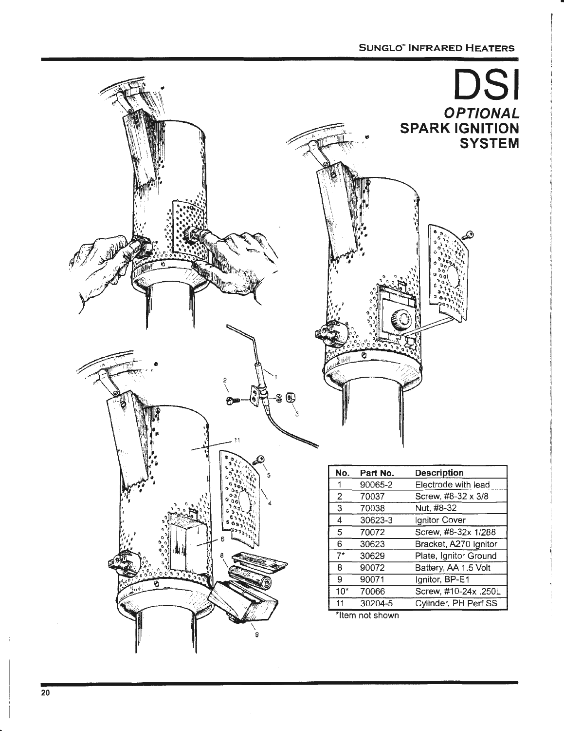#### **SUNGLd" INFRARED HEATERS**

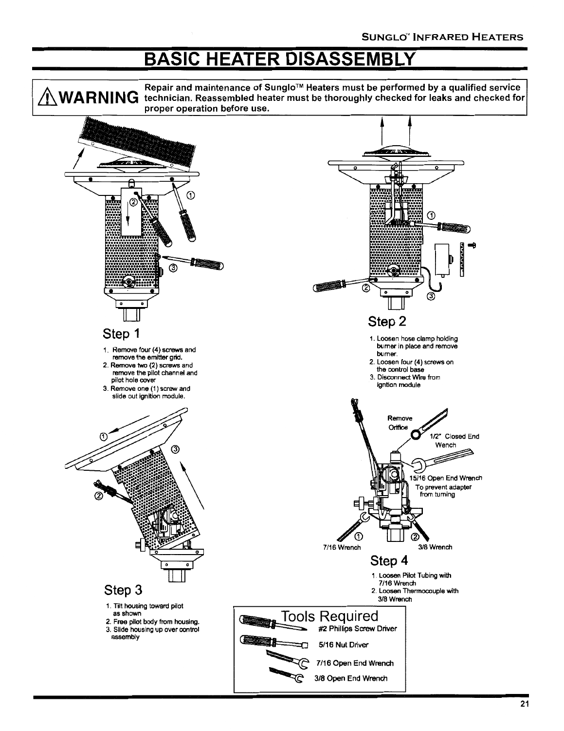## **BASIC HEATER DISASSEMBLY**

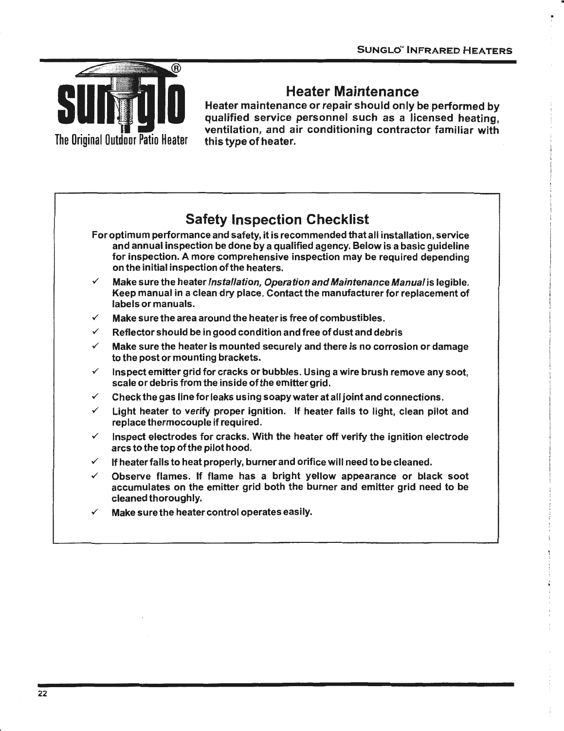

### **Heater Maintenance**

Heater maintenance or repair should only be performed by qualified service personnel such as a licensed heating, ventilation, and air conditioning contractor familiar with this type of heater.

### **Safety Inspection Checklist**

- For optimum performance and safety, it is recommended that all installation, service and annual inspection be done by a qualified agency. Below is a basic guideline for inspection. A more comprehensive inspection may be required depending on the initial inspection of the heaters .
- Make sure the heater *Installation, Operation and Maintenance Manual* is legible. Keep manual in a clean dry place. Contact the manufacturer for replacement of labels or manuals .
- Make sure the area around the heater is free of combustibles.
- Reflector should be in good condition and free of dust and debris
- $\checkmark$  Make sure the heater is mounted securely and there is no corrosion or damage to the post or mounting brackets .
- $\checkmark$  Inspect emitter grid for cracks or bubbles. Using a wire brush remove any soot, scale or debris from the inside of the emitter grid.
- $\checkmark$  Check the gas line for leaks using soapy water at all joint and connections.
- $\checkmark$  Light heater to verify proper ignition. If heater fails to light, clean pilot and replace thermocouple if required .
- Inspect electrodes for cracks. With the heater off verify the ignition electrode arcs to the top of the pilot hood.
- If heater fails to heat properly, burner and orifice will need to be cleaned.
- Observe flames. If flame has a bright yellow appearance or black soot accumulates on the emitter grid both the burner and emitter grid need to be cleaned thoroughly.
- Make sure the heater control operates easily.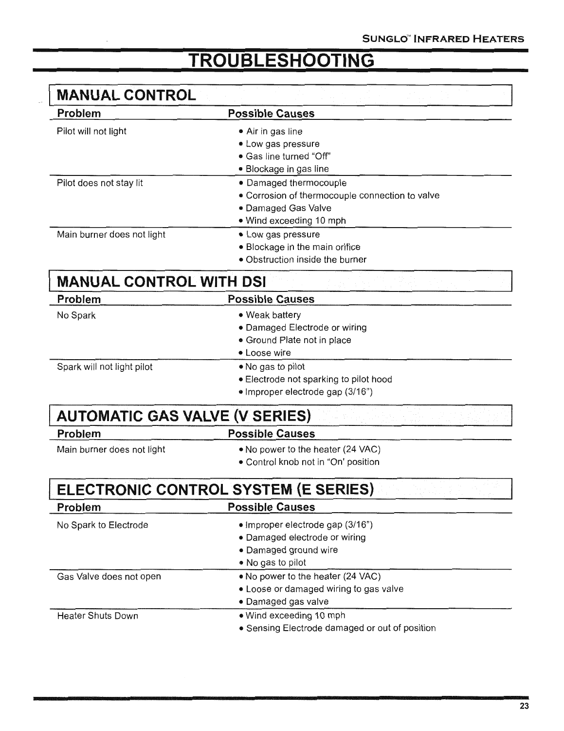## **TROUBLESHOOTING**

| <b>MANUAL CONTROL</b>                 |                                                 |
|---------------------------------------|-------------------------------------------------|
| <b>Problem</b>                        | <b>Possible Causes</b>                          |
| Pilot will not light                  | • Air in gas line                               |
|                                       | • Low gas pressure                              |
|                                       | · Gas line turned "Off"                         |
|                                       | • Blockage in gas line                          |
| Pilot does not stay lit               | • Damaged thermocouple                          |
|                                       | • Corrosion of thermocouple connection to valve |
|                                       | • Damaged Gas Valve                             |
|                                       | • Wind exceeding 10 mph                         |
| Main burner does not light            | • Low gas pressure                              |
|                                       | • Blockage in the main orifice                  |
|                                       | · Obstruction inside the burner                 |
| <b>MANUAL CONTROL WITH DSI</b>        |                                                 |
| Problem                               | <b>Possible Causes</b>                          |
| No Spark                              | • Weak battery                                  |
|                                       | • Damaged Electrode or wiring                   |
|                                       | • Ground Plate not in place                     |
|                                       | • Loose wire                                    |
| Spark will not light pilot            | • No gas to pilot                               |
|                                       | • Electrode not sparking to pilot hood          |
|                                       | · Improper electrode gap (3/16")                |
| <b>AUTOMATIC GAS VALVE (V SERIES)</b> |                                                 |
| <b>Problem</b>                        | <b>Possible Causes</b>                          |
| Main burner does not light            | • No power to the heater (24 VAC)               |
|                                       | • Control knob not in "On' position             |
|                                       | ELECTRONIC CONTROL SYSTEM (E SERIES)            |
| Problem                               | <b>Possible Causes</b>                          |
| No Spark to Electrode                 | • Improper electrode gap (3/16")                |
|                                       | · Damaged electrode or wiring                   |
|                                       | • Damaged ground wire                           |
|                                       | • No gas to pilot                               |
| Gas Valve does not open               | . No power to the heater (24 VAC)               |
|                                       | • Loose or damaged wiring to gas valve          |
|                                       | · Damaged gas valve                             |
| <b>Heater Shuts Down</b>              | • Wind exceeding 10 mph                         |
|                                       | • Sensing Electrode damaged or out of position  |
|                                       |                                                 |